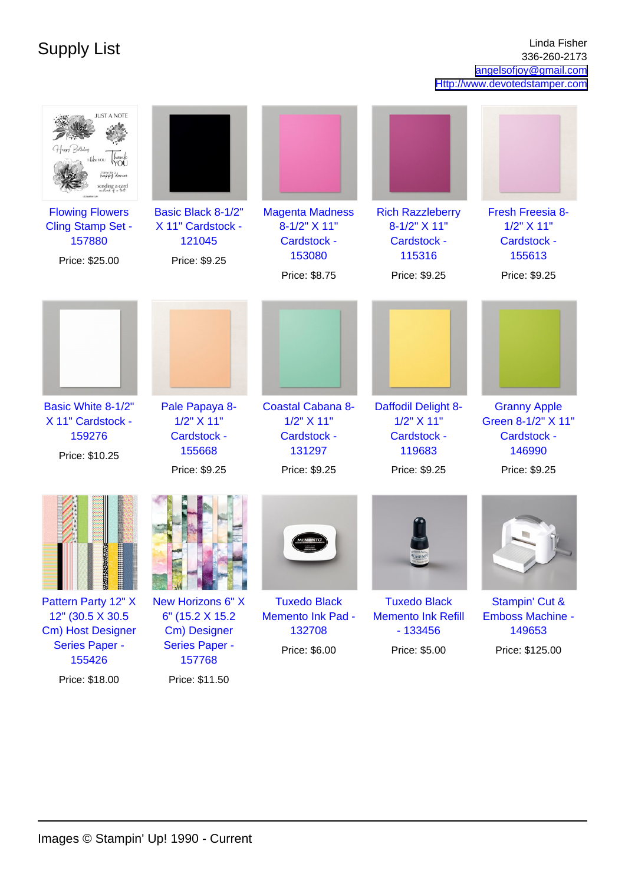Supply List Linda Fisher Linda Fisher 336-260-2173 [angelsofjoy@gmail.com](mailto:angelsofjoy@gmail.com) <Http://www.devotedstamper.com>

| <b>JUST A NOTE</b><br>ppy dance<br>inding a card<br><b>Flowing Flowers</b><br><b>Cling Stamp Set -</b><br>157880<br>Price: \$25.00 | Basic Black 8-1/2"<br>X 11" Cardstock -<br>121045<br>Price: \$9.25                       | <b>Magenta Madness</b><br>8-1/2" X 11"<br>Cardstock -<br>153080<br>Price: \$8.75 | <b>Rich Razzleberry</b><br>8-1/2" X 11"<br>Cardstock -<br>115316<br>Price: \$9.25 | Fresh Freesia 8-<br>1/2" X 11"<br>Cardstock -<br>155613<br>Price: \$9.25            |
|------------------------------------------------------------------------------------------------------------------------------------|------------------------------------------------------------------------------------------|----------------------------------------------------------------------------------|-----------------------------------------------------------------------------------|-------------------------------------------------------------------------------------|
| Basic White 8-1/2"<br>X 11" Cardstock -<br>159276<br>Price: \$10.25                                                                | Pale Papaya 8-<br>1/2" X 11"<br>Cardstock -<br>155668<br>Price: \$9.25                   | <b>Coastal Cabana 8-</b><br>1/2" X 11"<br>Cardstock -<br>131297<br>Price: \$9.25 | Daffodil Delight 8-<br>$1/2$ " $X$ 11"<br>Cardstock -<br>119683<br>Price: \$9.25  | <b>Granny Apple</b><br>Green 8-1/2" X 11"<br>Cardstock -<br>146990<br>Price: \$9.25 |
| <b>BENFRIE</b><br>H                                                                                                                |                                                                                          |                                                                                  |                                                                                   |                                                                                     |
| Pattern Party 12" X<br>12" (30.5 X 30.5)<br>Cm) Host Designer<br><b>Series Paper -</b><br>155426                                   | New Horizons 6" X<br>6" (15.2 X 15.2)<br>Cm) Designer<br><b>Series Paper -</b><br>157768 | <b>Tuxedo Black</b><br><b>Memento Ink Pad -</b><br>132708<br>Price: \$6.00       | <b>Tuxedo Black</b><br><b>Memento Ink Refill</b><br>$-133456$<br>Price: \$5.00    | Stampin' Cut &<br><b>Emboss Machine -</b><br>149653<br>Price: \$125.00              |

Price: \$11.50